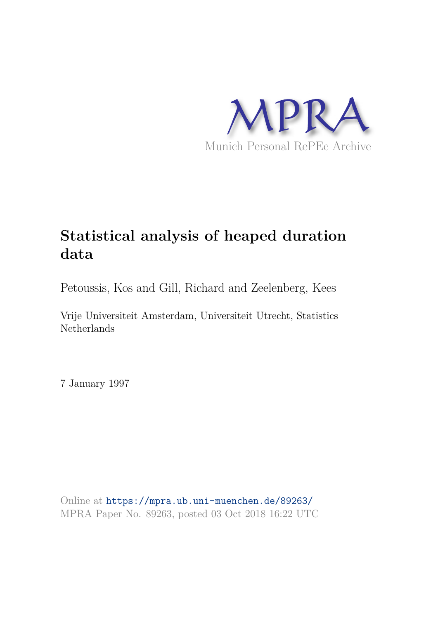

# **Statistical analysis of heaped duration data**

Petoussis, Kos and Gill, Richard and Zeelenberg, Kees

Vrije Universiteit Amsterdam, Universiteit Utrecht, Statistics Netherlands

7 January 1997

Online at https://mpra.ub.uni-muenchen.de/89263/ MPRA Paper No. 89263, posted 03 Oct 2018 16:22 UTC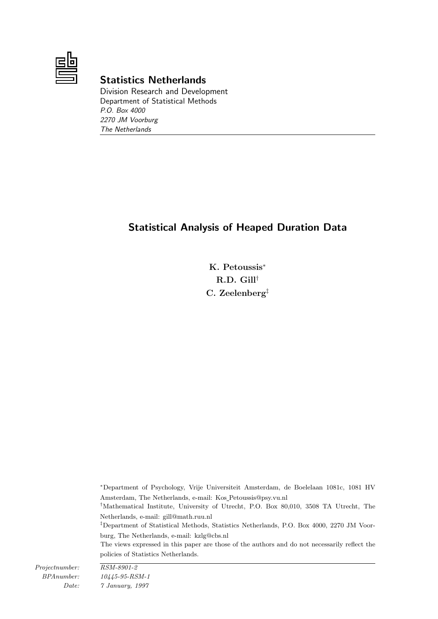

# Statistics Netherlands

Division Research and Development Department of Statistical Methods P.O. Box 4000 2270 JM Voorburg The Netherlands

# Statistical Analysis of Heaped Duration Data

K. Petoussis<sup>∗</sup> R.D. Gill† C. Zeelenberg‡

<sup>∗</sup>Department of Psychology, Vrije Universiteit Amsterdam, de Boelelaan 1081c, 1081 HV Amsterdam, The Netherlands, e-mail: Kos Petoussis@psy.vu.nl

†Mathematical Institute, University of Utrecht, P.O. Box 80,010, 3508 TA Utrecht, The Netherlands, e-mail: gill@math.ruu.nl

‡Department of Statistical Methods, Statistics Netherlands, P.O. Box 4000, 2270 JM Voorburg, The Netherlands, e-mail: kzlg@cbs.nl

The views expressed in this paper are those of the authors and do not necessarily reflect the policies of Statistics Netherlands.

Projectnumber: RSM-8901-2

BPAnumber: 10445-95-RSM-1 Date: 7 January, 1997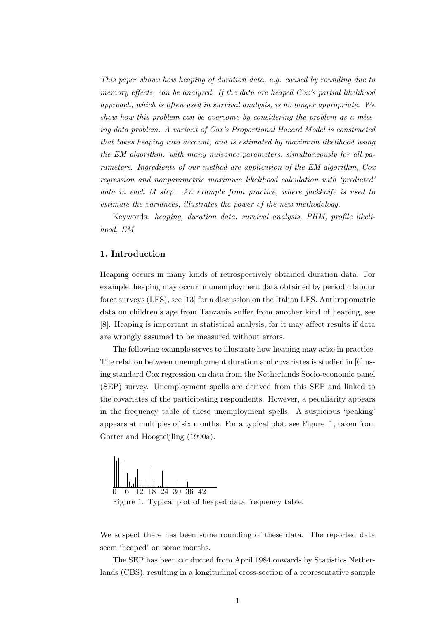This paper shows how heaping of duration data, e.g. caused by rounding due to memory effects, can be analyzed. If the data are heaped Cox's partial likelihood approach, which is often used in survival analysis, is no longer appropriate. We show how this problem can be overcome by considering the problem as a missing data problem. A variant of Cox's Proportional Hazard Model is constructed that takes heaping into account, and is estimated by maximum likelihood using the EM algorithm. with many nuisance parameters, simultaneously for all parameters. Ingredients of our method are application of the EM algorithm, Cox regression and nonparametric maximum likelihood calculation with 'predicted' data in each M step. An example from practice, where jackknife is used to estimate the variances, illustrates the power of the new methodology.

Keywords: heaping, duration data, survival analysis, PHM, profile likelihood, EM.

# 1. Introduction

Heaping occurs in many kinds of retrospectively obtained duration data. For example, heaping may occur in unemployment data obtained by periodic labour force surveys (LFS), see [13] for a discussion on the Italian LFS. Anthropometric data on children's age from Tanzania suffer from another kind of heaping, see [8]. Heaping is important in statistical analysis, for it may affect results if data are wrongly assumed to be measured without errors.

The following example serves to illustrate how heaping may arise in practice. The relation between unemployment duration and covariates is studied in [6] using standard Cox regression on data from the Netherlands Socio-economic panel (SEP) survey. Unemployment spells are derived from this SEP and linked to the covariates of the participating respondents. However, a peculiarity appears in the frequency table of these unemployment spells. A suspicious 'peaking' appears at multiples of six months. For a typical plot, see Figure 1, taken from Gorter and Hoogteijling (1990a).



We suspect there has been some rounding of these data. The reported data seem 'heaped' on some months.

The SEP has been conducted from April 1984 onwards by Statistics Netherlands (CBS), resulting in a longitudinal cross-section of a representative sample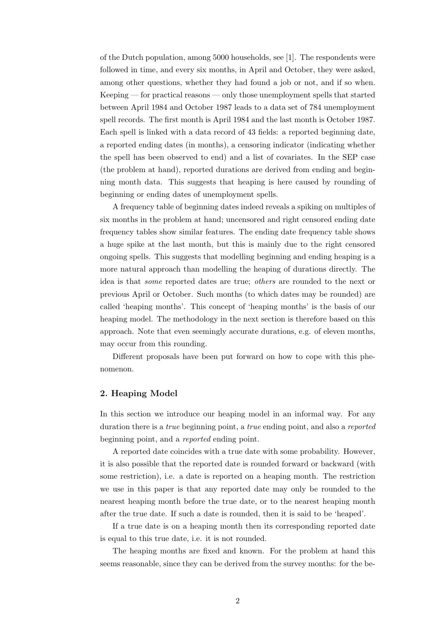of the Dutch population, among 5000 households, see [1]. The respondents were followed in time, and every six months, in April and October, they were asked, among other questions, whether they had found a job or not, and if so when. Keeping — for practical reasons — only those unemployment spells that started between April 1984 and October 1987 leads to a data set of 784 unemployment spell records. The first month is April 1984 and the last month is October 1987. Each spell is linked with a data record of 43 fields: a reported beginning date, a reported ending dates (in months), a censoring indicator (indicating whether the spell has been observed to end) and a list of covariates. In the SEP case (the problem at hand), reported durations are derived from ending and beginning month data. This suggests that heaping is here caused by rounding of beginning or ending dates of unemployment spells.

A frequency table of beginning dates indeed reveals a spiking on multiples of six months in the problem at hand; uncensored and right censored ending date frequency tables show similar features. The ending date frequency table shows a huge spike at the last month, but this is mainly due to the right censored ongoing spells. This suggests that modelling beginning and ending heaping is a more natural approach than modelling the heaping of durations directly. The idea is that some reported dates are true; others are rounded to the next or previous April or October. Such months (to which dates may be rounded) are called 'heaping months'. This concept of 'heaping months' is the basis of our heaping model. The methodology in the next section is therefore based on this approach. Note that even seemingly accurate durations, e.g. of eleven months, may occur from this rounding.

Different proposals have been put forward on how to cope with this phenomenon.

# 2. Heaping Model

In this section we introduce our heaping model in an informal way. For any duration there is a true beginning point, a true ending point, and also a reported beginning point, and a reported ending point.

A reported date coincides with a true date with some probability. However, it is also possible that the reported date is rounded forward or backward (with some restriction), i.e. a date is reported on a heaping month. The restriction we use in this paper is that any reported date may only be rounded to the nearest heaping month before the true date, or to the nearest heaping month after the true date. If such a date is rounded, then it is said to be 'heaped'.

If a true date is on a heaping month then its corresponding reported date is equal to this true date, i.e. it is not rounded.

The heaping months are fixed and known. For the problem at hand this seems reasonable, since they can be derived from the survey months: for the be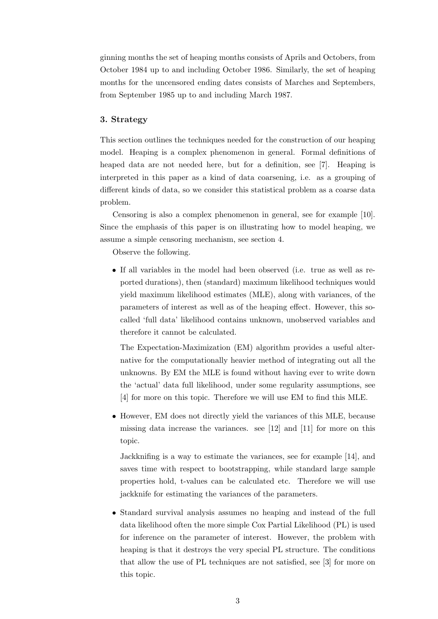ginning months the set of heaping months consists of Aprils and Octobers, from October 1984 up to and including October 1986. Similarly, the set of heaping months for the uncensored ending dates consists of Marches and Septembers, from September 1985 up to and including March 1987.

# 3. Strategy

This section outlines the techniques needed for the construction of our heaping model. Heaping is a complex phenomenon in general. Formal definitions of heaped data are not needed here, but for a definition, see [7]. Heaping is interpreted in this paper as a kind of data coarsening, i.e. as a grouping of different kinds of data, so we consider this statistical problem as a coarse data problem.

Censoring is also a complex phenomenon in general, see for example [10]. Since the emphasis of this paper is on illustrating how to model heaping, we assume a simple censoring mechanism, see section 4.

Observe the following.

• If all variables in the model had been observed (i.e. true as well as reported durations), then (standard) maximum likelihood techniques would yield maximum likelihood estimates (MLE), along with variances, of the parameters of interest as well as of the heaping effect. However, this socalled 'full data' likelihood contains unknown, unobserved variables and therefore it cannot be calculated.

The Expectation-Maximization (EM) algorithm provides a useful alternative for the computationally heavier method of integrating out all the unknowns. By EM the MLE is found without having ever to write down the 'actual' data full likelihood, under some regularity assumptions, see [4] for more on this topic. Therefore we will use EM to find this MLE.

• However, EM does not directly yield the variances of this MLE, because missing data increase the variances. see [12] and [11] for more on this topic.

Jackknifing is a way to estimate the variances, see for example [14], and saves time with respect to bootstrapping, while standard large sample properties hold, t-values can be calculated etc. Therefore we will use jackknife for estimating the variances of the parameters.

• Standard survival analysis assumes no heaping and instead of the full data likelihood often the more simple Cox Partial Likelihood (PL) is used for inference on the parameter of interest. However, the problem with heaping is that it destroys the very special PL structure. The conditions that allow the use of PL techniques are not satisfied, see [3] for more on this topic.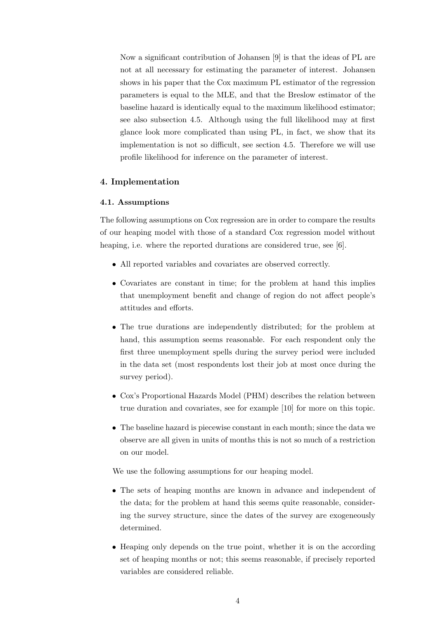Now a significant contribution of Johansen [9] is that the ideas of PL are not at all necessary for estimating the parameter of interest. Johansen shows in his paper that the Cox maximum PL estimator of the regression parameters is equal to the MLE, and that the Breslow estimator of the baseline hazard is identically equal to the maximum likelihood estimator; see also subsection 4.5. Although using the full likelihood may at first glance look more complicated than using PL, in fact, we show that its implementation is not so difficult, see section 4.5. Therefore we will use profile likelihood for inference on the parameter of interest.

## 4. Implementation

#### 4.1. Assumptions

The following assumptions on Cox regression are in order to compare the results of our heaping model with those of a standard Cox regression model without heaping, i.e. where the reported durations are considered true, see [6].

- All reported variables and covariates are observed correctly.
- Covariates are constant in time; for the problem at hand this implies that unemployment benefit and change of region do not affect people's attitudes and efforts.
- The true durations are independently distributed; for the problem at hand, this assumption seems reasonable. For each respondent only the first three unemployment spells during the survey period were included in the data set (most respondents lost their job at most once during the survey period).
- Cox's Proportional Hazards Model (PHM) describes the relation between true duration and covariates, see for example [10] for more on this topic.
- The baseline hazard is piecewise constant in each month; since the data we observe are all given in units of months this is not so much of a restriction on our model.

We use the following assumptions for our heaping model.

- The sets of heaping months are known in advance and independent of the data; for the problem at hand this seems quite reasonable, considering the survey structure, since the dates of the survey are exogeneously determined.
- Heaping only depends on the true point, whether it is on the according set of heaping months or not; this seems reasonable, if precisely reported variables are considered reliable.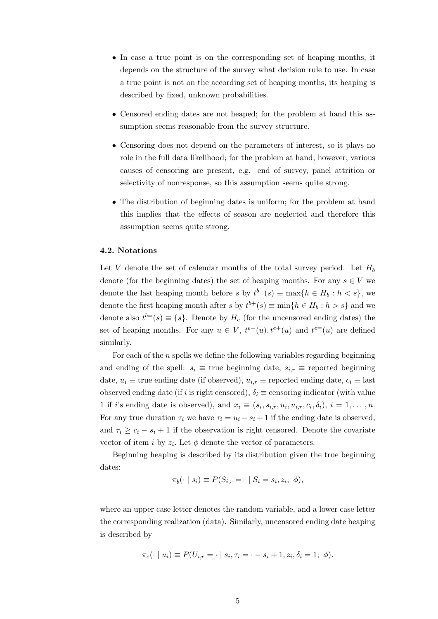- In case a true point is on the corresponding set of heaping months, it depends on the structure of the survey what decision rule to use. In case a true point is not on the according set of heaping months, its heaping is described by fixed, unknown probabilities.
- Censored ending dates are not heaped; for the problem at hand this assumption seems reasonable from the survey structure.
- Censoring does not depend on the parameters of interest, so it plays no role in the full data likelihood; for the problem at hand, however, various causes of censoring are present, e.g. end of survey, panel attrition or selectivity of nonresponse, so this assumption seems quite strong.
- The distribution of beginning dates is uniform; for the problem at hand this implies that the effects of season are neglected and therefore this assumption seems quite strong.

#### 4.2. Notations

Let V denote the set of calendar months of the total survey period. Let  $H_b$ denote (for the beginning dates) the set of heaping months. For any  $s \in V$  we denote the last heaping month before s by  $t^{b-}(s) \equiv \max\{h \in H_b : h < s\}$ , we denote the first heaping month after s by  $t^{b+}(s) \equiv \min\{h \in H_b : h > s\}$  and we denote also  $t^{b=}(s) \equiv \{s\}$ . Denote by  $H_e$  (for the uncensored ending dates) the set of heaping months. For any  $u \in V$ ,  $t^{e-}(u)$ ,  $t^{e+}(u)$  and  $t^{e-}(u)$  are defined similarly.

For each of the n spells we define the following variables regarding beginning and ending of the spell:  $s_i \equiv$  true beginning date,  $s_{i,r} \equiv$  reported beginning date,  $u_i \equiv$  true ending date (if observed),  $u_{i,r} \equiv$  reported ending date,  $c_i \equiv$  last observed ending date (if i is right censored),  $\delta_i \equiv$  censoring indicator (with value 1 if i's ending date is observed), and  $x_i \equiv (s_i, s_{i,r}, u_i, u_{i,r}, c_i, \delta_i), i = 1, \ldots, n$ . For any true duration  $\tau_i$  we have  $\tau_i = u_i - s_i + 1$  if the ending date is observed, and  $\tau_i \geq c_i - s_i + 1$  if the observation is right censored. Denote the covariate vector of item *i* by  $z_i$ . Let  $\phi$  denote the vector of parameters.

Beginning heaping is described by its distribution given the true beginning dates:

$$
\pi_b(\cdot \mid s_i) \equiv P(S_{i,r} = \cdot \mid S_i = s_i, z_i; \phi),
$$

where an upper case letter denotes the random variable, and a lower case letter the corresponding realization (data). Similarly, uncensored ending date heaping is described by

$$
\pi_e(\cdot \mid u_i) \equiv P(U_{i,r} = \cdot \mid s_i, \tau_i = \cdot - s_i + 1, z_i, \delta_i = 1; \phi).
$$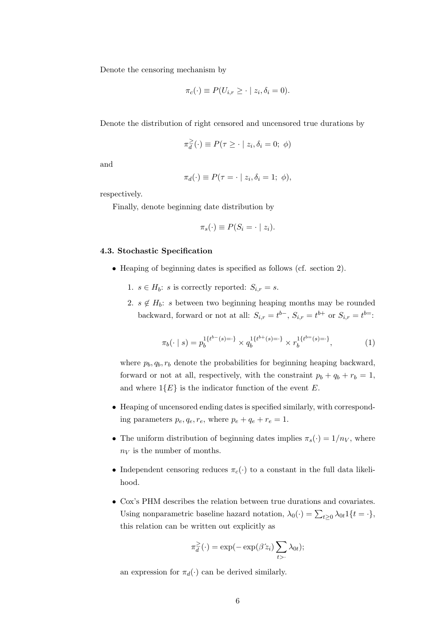Denote the censoring mechanism by

$$
\pi_c(\cdot) \equiv P(U_{i,r} \geq \cdot \mid z_i, \delta_i = 0).
$$

Denote the distribution of right censored and uncensored true durations by

$$
\pi_d^{\geq}(\cdot) \equiv P(\tau \geq \cdot \mid z_i, \delta_i = 0; \phi)
$$

and

$$
\pi_d(\cdot) \equiv P(\tau = \cdot \mid z_i, \delta_i = 1; \phi),
$$

respectively.

Finally, denote beginning date distribution by

$$
\pi_s(\cdot) \equiv P(S_i = \cdot \mid z_i).
$$

#### 4.3. Stochastic Specification

- Heaping of beginning dates is specified as follows (cf. section 2).
	- 1.  $s \in H_b$ : s is correctly reported:  $S_{i,r} = s$ .
	- 2.  $s \notin H_b$ : s between two beginning heaping months may be rounded backward, forward or not at all:  $S_{i,r} = t^{b-}$ ,  $S_{i,r} = t^{b+}$  or  $S_{i,r} = t^{b=}$ :

$$
\pi_b(\cdot \mid s) = p_b^{1\{t^{b-}(s) = \cdot\}} \times q_b^{1\{t^{b+}(s) = \cdot\}} \times r_b^{1\{t^{b=}(s) = \cdot\}},\tag{1}
$$

where  $p_b, q_b, r_b$  denote the probabilities for beginning heaping backward, forward or not at all, respectively, with the constraint  $p_b + q_b + r_b = 1$ , and where  $1\{E\}$  is the indicator function of the event E.

- Heaping of uncensored ending dates is specified similarly, with corresponding parameters  $p_e, q_e, r_e$ , where  $p_e + q_e + r_e = 1$ .
- The uniform distribution of beginning dates implies  $\pi_s(\cdot) = 1/n_V$ , where  $n_V$  is the number of months.
- Independent censoring reduces  $\pi_c(\cdot)$  to a constant in the full data likelihood.
- Cox's PHM describes the relation between true durations and covariates. Using nonparametric baseline hazard notation,  $\lambda_0(\cdot) = \sum_{t \geq 0} \lambda_{0t} 1\{t = \cdot\},\$ this relation can be written out explicitly as

$$
\pi_d^{\geq}(\cdot) = \exp(-\exp(\beta'z_i)\sum_{t>}\lambda_{0t});
$$

an expression for  $\pi_d(\cdot)$  can be derived similarly.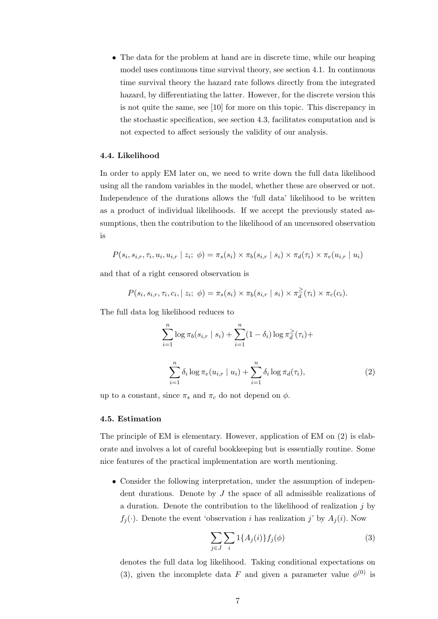• The data for the problem at hand are in discrete time, while our heaping model uses continuous time survival theory, see section 4.1. In continuous time survival theory the hazard rate follows directly from the integrated hazard, by differentiating the latter. However, for the discrete version this is not quite the same, see [10] for more on this topic. This discrepancy in the stochastic specification, see section 4.3, facilitates computation and is not expected to affect seriously the validity of our analysis.

#### 4.4. Likelihood

In order to apply EM later on, we need to write down the full data likelihood using all the random variables in the model, whether these are observed or not. Independence of the durations allows the 'full data' likelihood to be written as a product of individual likelihoods. If we accept the previously stated assumptions, then the contribution to the likelihood of an uncensored observation is

$$
P(s_i, s_{i,r}, \tau_i, u_i, u_{i,r} \mid z_i; \phi) = \pi_s(s_i) \times \pi_b(s_{i,r} \mid s_i) \times \pi_d(\tau_i) \times \pi_e(u_{i,r} \mid u_i)
$$

and that of a right censored observation is

$$
P(s_i, s_{i,r}, \tau_i, c_i, | z_i; \phi) = \pi_s(s_i) \times \pi_b(s_{i,r} | s_i) \times \pi_d^{\geq}(\tau_i) \times \pi_c(c_i).
$$

The full data log likelihood reduces to

$$
\sum_{i=1}^{n} \log \pi_b(s_{i,r} \mid s_i) + \sum_{i=1}^{n} (1 - \delta_i) \log \pi_d^{\geq}(\tau_i) +
$$

$$
\sum_{i=1}^{n} \delta_i \log \pi_e(u_{i,r} \mid u_i) + \sum_{i=1}^{n} \delta_i \log \pi_d(\tau_i), \tag{2}
$$

up to a constant, since  $\pi_s$  and  $\pi_c$  do not depend on  $\phi$ .

## 4.5. Estimation

The principle of EM is elementary. However, application of EM on (2) is elaborate and involves a lot of careful bookkeeping but is essentially routine. Some nice features of the practical implementation are worth mentioning.

• Consider the following interpretation, under the assumption of independent durations. Denote by  $J$  the space of all admissible realizations of a duration. Denote the contribution to the likelihood of realization  $j$  by  $f_i(\cdot)$ . Denote the event 'observation i has realization j' by  $A_i(i)$ . Now

$$
\sum_{j\in J} \sum_{i} 1\{A_j(i)\} f_j(\phi) \tag{3}
$$

denotes the full data log likelihood. Taking conditional expectations on (3), given the incomplete data F and given a parameter value  $\phi^{(0)}$  is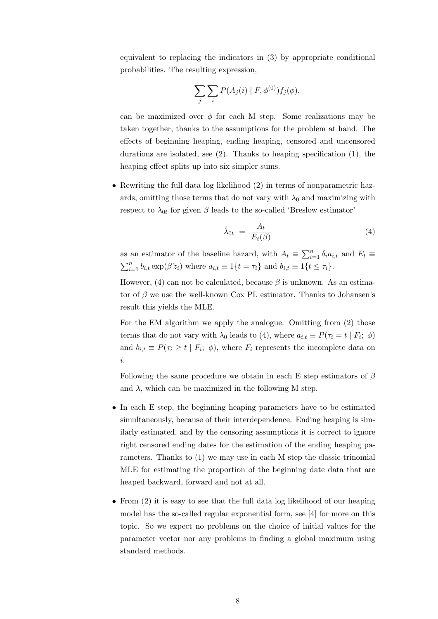equivalent to replacing the indicators in (3) by appropriate conditional probabilities. The resulting expression,

$$
\sum_j \sum_i P(A_j(i) | F, \phi^{(0)}) f_j(\phi),
$$

can be maximized over  $\phi$  for each M step. Some realizations may be taken together, thanks to the assumptions for the problem at hand. The effects of beginning heaping, ending heaping, censored and uncensored durations are isolated, see (2). Thanks to heaping specification (1), the heaping effect splits up into six simpler sums.

• Rewriting the full data log likelihood (2) in terms of nonparametric hazards, omitting those terms that do not vary with  $\lambda_0$  and maximizing with respect to  $\lambda_{0t}$  for given  $\beta$  leads to the so-called 'Breslow estimator'

$$
\hat{\lambda}_{0t} = \frac{A_t}{E_t(\beta)}\tag{4}
$$

as an estimator of the baseline hazard, with  $A_t \equiv \sum_{i=1}^n \delta_i a_{i,t}$  and  $E_t \equiv$  $\sum_{i=1}^{n} b_{i,t} \exp(\beta' z_i)$  where  $a_{i,t} \equiv 1\{t = \tau_i\}$  and  $b_{i,t} \equiv 1\{t \leq \tau_i\}.$ 

However, (4) can not be calculated, because  $\beta$  is unknown. As an estimator of  $\beta$  we use the well-known Cox PL estimator. Thanks to Johansen's result this yields the MLE.

For the EM algorithm we apply the analogue. Omitting from (2) those terms that do not vary with  $\lambda_0$  leads to (4), where  $a_{i,t} \equiv P(\tau_i = t \mid F_i; \phi)$ and  $b_{i,t} \equiv P(\tau_i \geq t \mid F_i; \phi)$ , where  $F_i$  represents the incomplete data on i.

Following the same procedure we obtain in each E step estimators of  $\beta$ and  $\lambda$ , which can be maximized in the following M step.

- In each E step, the beginning heaping parameters have to be estimated simultaneously, because of their interdependence. Ending heaping is similarly estimated, and by the censoring assumptions it is correct to ignore right censored ending dates for the estimation of the ending heaping parameters. Thanks to (1) we may use in each M step the classic trinomial MLE for estimating the proportion of the beginning date data that are heaped backward, forward and not at all.
- From (2) it is easy to see that the full data log likelihood of our heaping model has the so-called regular exponential form, see [4] for more on this topic. So we expect no problems on the choice of initial values for the parameter vector nor any problems in finding a global maximum using standard methods.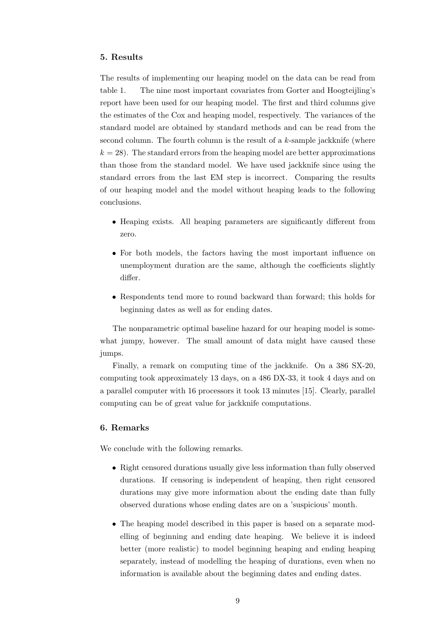#### 5. Results

The results of implementing our heaping model on the data can be read from table 1. The nine most important covariates from Gorter and Hoogteijling's report have been used for our heaping model. The first and third columns give the estimates of the Cox and heaping model, respectively. The variances of the standard model are obtained by standard methods and can be read from the second column. The fourth column is the result of a k-sample jackknife (where  $k = 28$ ). The standard errors from the heaping model are better approximations than those from the standard model. We have used jackknife since using the standard errors from the last EM step is incorrect. Comparing the results of our heaping model and the model without heaping leads to the following conclusions.

- Heaping exists. All heaping parameters are significantly different from zero.
- For both models, the factors having the most important influence on unemployment duration are the same, although the coefficients slightly differ.
- Respondents tend more to round backward than forward; this holds for beginning dates as well as for ending dates.

The nonparametric optimal baseline hazard for our heaping model is somewhat jumpy, however. The small amount of data might have caused these jumps.

Finally, a remark on computing time of the jackknife. On a 386 SX-20, computing took approximately 13 days, on a 486 DX-33, it took 4 days and on a parallel computer with 16 processors it took 13 minutes [15]. Clearly, parallel computing can be of great value for jackknife computations.

## 6. Remarks

We conclude with the following remarks.

- Right censored durations usually give less information than fully observed durations. If censoring is independent of heaping, then right censored durations may give more information about the ending date than fully observed durations whose ending dates are on a 'suspicious' month.
- The heaping model described in this paper is based on a separate modelling of beginning and ending date heaping. We believe it is indeed better (more realistic) to model beginning heaping and ending heaping separately, instead of modelling the heaping of durations, even when no information is available about the beginning dates and ending dates.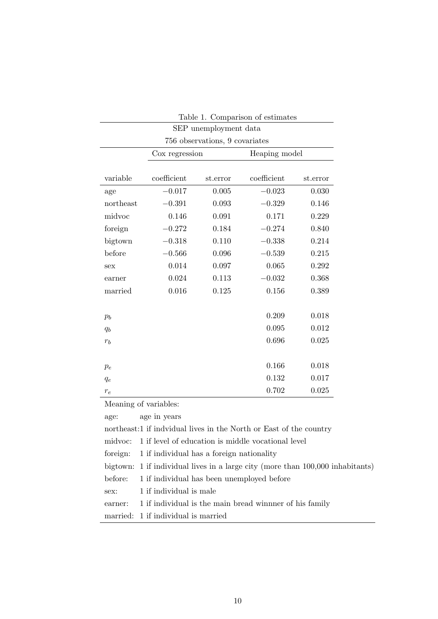| Table 1. Comparison of estimates |                |          |               |          |
|----------------------------------|----------------|----------|---------------|----------|
| SEP unemployment data            |                |          |               |          |
| 756 observations, 9 covariates   |                |          |               |          |
|                                  | Cox regression |          | Heaping model |          |
|                                  |                |          |               |          |
| variable                         | coefficient    | st.error | coefficient   | st.error |
| age                              | $-0.017$       | 0.005    | $-0.023$      | 0.030    |
| northeast                        | $-0.391$       | 0.093    | $-0.329$      | 0.146    |
| midvoc                           | 0.146          | 0.091    | 0.171         | 0.229    |
| foreign                          | $-0.272$       | 0.184    | $-0.274$      | 0.840    |
| bigtown                          | $-0.318$       | 0.110    | $-0.338$      | 0.214    |
| before                           | $-0.566$       | 0.096    | $-0.539$      | 0.215    |
| sex                              | 0.014          | 0.097    | 0.065         | 0.292    |
| earner                           | 0.024          | 0.113    | $-0.032$      | 0.368    |
| married                          | 0.016          | 0.125    | 0.156         | 0.389    |
|                                  |                |          |               |          |
| $p_b$                            |                |          | 0.209         | 0.018    |
| $q_b$                            |                |          | 0.095         | 0.012    |
| $r_b$                            |                |          | 0.696         | 0.025    |
|                                  |                |          |               |          |
| $p_e$                            |                |          | 0.166         | 0.018    |
| $q_e$                            |                |          | 0.132         | 0.017    |
| $r_e$                            |                |          | 0.702         | 0.025    |

Meaning of variables:

|                                                                    | age: age in years                                                              |  |
|--------------------------------------------------------------------|--------------------------------------------------------------------------------|--|
| northeast:1 if indvidual lives in the North or East of the country |                                                                                |  |
|                                                                    | midyoc: 1 if level of education is middle vocational level                     |  |
|                                                                    | foreign: 1 if individual has a foreign nationality                             |  |
|                                                                    | bigtown: 1 if individual lives in a large city (more than 100,000 inhabitants) |  |
|                                                                    | before: 1 if individual has been unemployed before                             |  |
| sex:                                                               | 1 if individual is male                                                        |  |
| earner:                                                            | 1 if individual is the main bread winner of his family                         |  |
|                                                                    | married: 1 if individual is married                                            |  |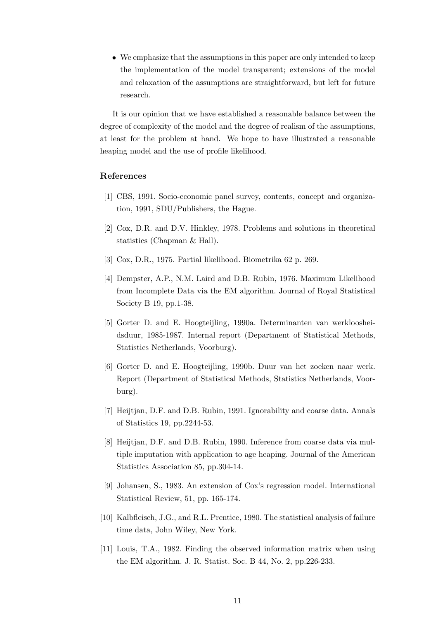• We emphasize that the assumptions in this paper are only intended to keep the implementation of the model transparent; extensions of the model and relaxation of the assumptions are straightforward, but left for future research.

It is our opinion that we have established a reasonable balance between the degree of complexity of the model and the degree of realism of the assumptions, at least for the problem at hand. We hope to have illustrated a reasonable heaping model and the use of profile likelihood.

# References

- [1] CBS, 1991. Socio-economic panel survey, contents, concept and organization, 1991, SDU/Publishers, the Hague.
- [2] Cox, D.R. and D.V. Hinkley, 1978. Problems and solutions in theoretical statistics (Chapman & Hall).
- [3] Cox, D.R., 1975. Partial likelihood. Biometrika 62 p. 269.
- [4] Dempster, A.P., N.M. Laird and D.B. Rubin, 1976. Maximum Likelihood from Incomplete Data via the EM algorithm. Journal of Royal Statistical Society B 19, pp.1-38.
- [5] Gorter D. and E. Hoogteijling, 1990a. Determinanten van werkloosheidsduur, 1985-1987. Internal report (Department of Statistical Methods, Statistics Netherlands, Voorburg).
- [6] Gorter D. and E. Hoogteijling, 1990b. Duur van het zoeken naar werk. Report (Department of Statistical Methods, Statistics Netherlands, Voorburg).
- [7] Heijtjan, D.F. and D.B. Rubin, 1991. Ignorability and coarse data. Annals of Statistics 19, pp.2244-53.
- [8] Heijtjan, D.F. and D.B. Rubin, 1990. Inference from coarse data via multiple imputation with application to age heaping. Journal of the American Statistics Association 85, pp.304-14.
- [9] Johansen, S., 1983. An extension of Cox's regression model. International Statistical Review, 51, pp. 165-174.
- [10] Kalbfleisch, J.G., and R.L. Prentice, 1980. The statistical analysis of failure time data, John Wiley, New York.
- [11] Louis, T.A., 1982. Finding the observed information matrix when using the EM algorithm. J. R. Statist. Soc. B 44, No. 2, pp.226-233.